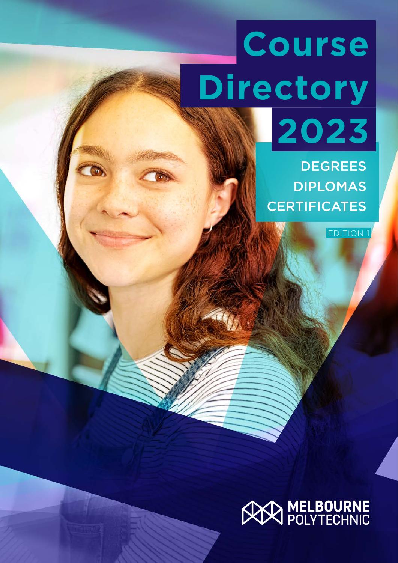# **Course Directory 2023**

**DEGREES** DIPLOMAS **CERTIFICATES** 

EDITION 1

## **AN MELBOURNE**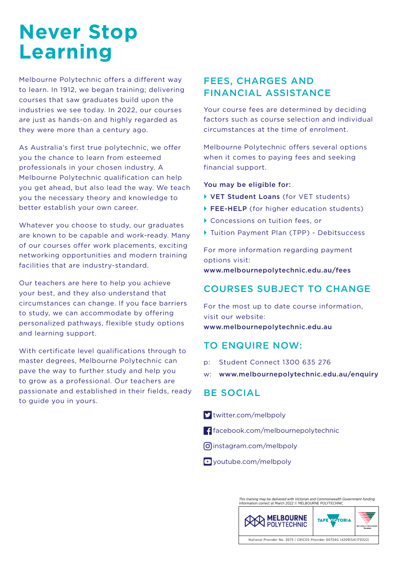### **Never Stop Learning**

Melbourne Polytechnic offers a different way to learn. In 1912, we began training; delivering courses that saw graduates build upon the industries we see today. In 2022, our courses are just as hands-on and highly regarded as they were more than a century ago.

As Australia's first true polytechnic, we offer you the chance to learn from esteemed professionals in your chosen industry. A Melbourne Polytechnic qualification can help you get ahead, but also lead the way. We teach you the necessary theory and knowledge to better establish your own career.

Whatever you choose to study, our graduates are known to be capable and work-ready. Many of our courses offer work placements, exciting networking opportunities and modern training facilities that are industry-standard.

Our teachers are here to help you achieve your best, and they also understand that circumstances can change. If you face barriers to study, we can accommodate by offering personalized pathways, flexible study options and learning support.

With certificate level qualifications through to master degrees, Melbourne Polytechnic can pave the way to further study and help you to grow as a professional. Our teachers are passionate and established in their fields, ready to guide you in yours.

### FEES, CHARGES AND FINANCIAL ASSISTANCE

Your course fees are determined by deciding factors such as course selection and individual circumstances at the time of enrolment.

Melbourne Polytechnic offers several options when it comes to paying fees and seeking financial support.

### You may be eligible for:

- VET Student Loans (for VET students)
- ▶ FEE-HELP (for higher education students)
- ` Concessions on tuition fees, or
- Tuition Payment Plan (TPP) Debitsuccess

For more information regarding payment options visit: www.melbournepolytechnic.edu.au/fees

### COURSES SUBJECT TO CHANGE

For the most up to date course information, visit our website: www.melbournepolytechnic.edu.au

### TO ENQUIRE NOW:

- p: Student Connect 1300 635 276
- w: www.melbournepolytechnic.edu.au/enquiry

### BE SOCIAL

- $\sum$  twitter.com/melbpoly
- $\blacksquare$  facebook.com/melbournepolytechnic
- $\Omega$  instagram.com/melbpoly
- $\blacksquare$  youtube.com/melbpoly

*This training may be delivered with Victorian and Commonwealth Government funding.* Information correct at March 2022 © MELBOURNE POLYTECHNIC

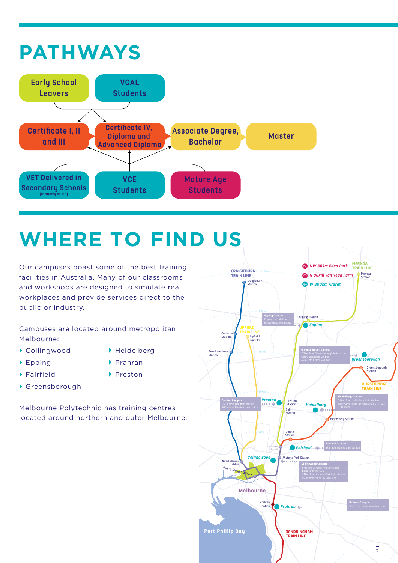### **PATHWAYS**



### **WHERE TO FIND US**

Our campuses boast some of the best training facilities in Australia. Many of our classrooms and workshops are designed to simulate real workplaces and provide services direct to the public or industry.

Campuses are located around metropolitan Melbourne:

- ` Collingwood
- **DETA** Heidelberg
- $\blacktriangleright$  Epping
- $\blacktriangleright$  Fairfield
- ` Prahran ▶ Preston
- ▶ Greensborough

Melbourne Polytechnic has training centres located around northern and outer Melbourne.

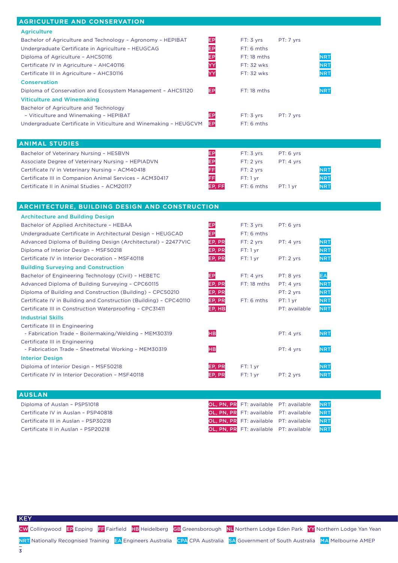| <b>AGRICULTURE AND CONSERVATION</b>                               |            |                                        |               |            |
|-------------------------------------------------------------------|------------|----------------------------------------|---------------|------------|
| <b>Agriculture</b>                                                |            |                                        |               |            |
| Bachelor of Agriculture and Technology - Agronomy - HEPIBAT       | EP         | FT: 3 vrs                              | PT: 7 yrs     |            |
| Undergraduate Certificate in Agriculture - HEUGCAG                | EP         | FT: 6 mths                             |               |            |
| Diploma of Agriculture - AHC50116                                 | EP         | FT: 18 mths                            |               | <b>NRT</b> |
| Certificate IV in Agriculture - AHC40116                          | YY         | FT: 32 wks                             |               | <b>NRT</b> |
| Certificate III in Agriculture - AHC30116                         | YΥ         | FT: 32 wks                             |               | <b>NRT</b> |
|                                                                   |            |                                        |               |            |
| <b>Conservation</b>                                               |            |                                        |               |            |
| Diploma of Conservation and Ecosystem Management - AHC51120       | EP         | FT: 18 mths                            |               | <b>NRT</b> |
| <b>Viticulture and Winemaking</b>                                 |            |                                        |               |            |
| Bachelor of Agriculture and Technology                            |            |                                        |               |            |
| - Viticulture and Winemaking - HEPIBAT                            | EP         | FT: 3 yrs                              | PT: 7 yrs     |            |
| Undergraduate Certificate in Viticulture and Winemaking - HEUGCVM | EP         | FT: 6 mths                             |               |            |
|                                                                   |            |                                        |               |            |
| <b>ANIMAL STUDIES</b>                                             |            |                                        |               |            |
| Bachelor of Veterinary Nursing - HESBVN                           | EP         | FT: 3 yrs                              | PT: 6 yrs     |            |
| Associate Degree of Veterinary Nursing - HEPIADVN                 | EP         | FT: 2 yrs                              | PT: 4 yrs     |            |
| Certificate IV in Veterinary Nursing - ACM40418                   | FF         | FT: 2 yrs                              |               | <b>NRT</b> |
| Certificate III in Companion Animal Services - ACM30417           | FF         | FT:1 yr                                |               | <b>NRT</b> |
| Certificate II in Animal Studies - ACM20117                       | EP, FF     | FT: 6 mths                             | PT: 1 yr      | <b>NRT</b> |
|                                                                   |            |                                        |               |            |
|                                                                   |            |                                        |               |            |
| <b>ARCHITECTURE, BUILDING DESIGN AND CONSTRUCTION</b>             |            |                                        |               |            |
| <b>Architecture and Building Design</b>                           |            |                                        |               |            |
| Bachelor of Applied Architecture - HEBAA                          | EP         | FT: 3 yrs                              | PT: 6 yrs     |            |
| Undergraduate Certificate in Architectural Design - HEUGCAD       | EP         | FT: 6 mths                             |               |            |
| Advanced Diploma of Building Design (Architectural) - 22477VIC    | EP, PR     | FT: 2 yrs                              | PT: 4 yrs     | <b>NRT</b> |
| Diploma of Interior Design - MSF50218                             | EP, PR     | FT:1 yr                                |               | <b>NRT</b> |
| Certificate IV in Interior Decoration - MSF40118                  | EP, PR     | FT:1 yr                                | PT: 2 yrs     | <b>NRT</b> |
| <b>Building Surveying and Construction</b>                        |            |                                        |               |            |
| Bachelor of Engineering Technology (Civil) - HEBETC               | EP         | FT: 4 yrs                              | PT: 8 yrs     | EA         |
| Advanced Diploma of Building Surveying - CPC60115                 | EP, PR     | FT: 18 mths                            | PT: 4 yrs     | <b>NRT</b> |
| Diploma of Building and Construction (Building) - CPC50210        | EP, PR     |                                        | PT: 2 yrs     | <b>NRT</b> |
| Certificate IV in Building and Construction (Building) - CPC40110 | EP, PR     | FT: 6 mths                             | PT: 1 yr      | <b>NRT</b> |
| Certificate III in Construction Waterproofing - CPC31411          | EP, HB     |                                        | PT: available | <b>NRT</b> |
| <b>Industrial Skills</b>                                          |            |                                        |               |            |
| Certificate III in Engineering                                    |            |                                        |               |            |
| - Fabrication Trade - Boilermaking/Welding - MEM30319             | HВ         |                                        | PT: 4 yrs     | <b>NRT</b> |
| Certificate III in Engineering                                    |            |                                        |               |            |
| - Fabrication Trade - Sheetmetal Working - MEM30319               | HВ         |                                        | PT: 4 yrs     | <b>NRT</b> |
| <b>Interior Design</b>                                            |            |                                        |               |            |
|                                                                   |            |                                        |               |            |
| Diploma of Interior Design - MSF50218                             | EP, PR     | FT:1 yr                                |               | <b>NRT</b> |
| Certificate IV in Interior Decoration - MSF40118                  | EP, PR     | FT:1 yr                                | PT: 2 yrs     | <b>NRT</b> |
|                                                                   |            |                                        |               |            |
| <b>AUSLAN</b>                                                     |            |                                        |               |            |
| Diploma of Auslan - PSP51018                                      | OL, PN, PR | FT: available                          | PT: available | <b>NRT</b> |
| Certificate IV in Auslan - PSP40818                               | OL, PN, PR | FT: available                          | PT: available | <b>NRT</b> |
| Certificate III in Auslan - PSP30218                              |            | OL, PN, PR FT: available               | PT: available | <b>NRT</b> |
| Certificate II in Auslan - PSP20218                               |            | OL, PN, PR FT: available PT: available |               | <b>NRT</b> |

KEY

 $\frac{1}{3}$ 

NRT Nationally Recognised Training EA Engineers Australia CPA CPA Australia SA Government of South Australia MA Melbourne AMEP

CW Collingwood EP Epping FF Fairfield HB Heidelberg GB Greensborough NL Northern Lodge Eden Park YY Northern Lodge Yan Yean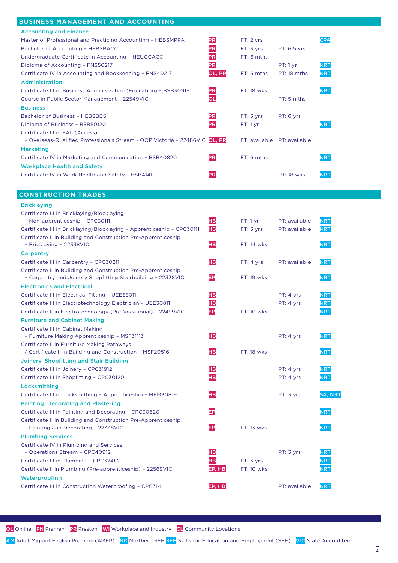#### **BUSINESS MANAGEMENT AND ACCOUNTING**

| <b>Accounting and Finance</b>                                              |           |               |                   |            |
|----------------------------------------------------------------------------|-----------|---------------|-------------------|------------|
| Master of Professional and Practicing Accounting - HEBSMPPA                | <b>PR</b> | FT: 2 yrs     |                   | CPA        |
| Bachelor of Accounting - HEBSBACC                                          | PR        | FT: 3 yrs     | PT: 6.5 yrs       |            |
| Undergraduate Certificate in Accounting - HEUGCACC                         | PR        | $FT: 6$ mths  |                   |            |
| Diploma of Accounting - FNS50217                                           | PR        |               | PT: 1 yr          | <b>NRT</b> |
| Certificate IV in Accounting and Bookkeeping - FNS40217                    | OL, PR    | $FT: 6$ mths  | PT: 18 mths       | <b>NRT</b> |
| Administration                                                             |           |               |                   |            |
| Certificate III in Business Administration (Education) - BSB30915          | <b>PR</b> | FT: 18 wks    |                   | <b>NRT</b> |
| Course in Public Sector Management - 22549VIC                              | οL        |               | $PT: 5$ mths      |            |
| <b>Business</b>                                                            |           |               |                   |            |
| <b>Bachelor of Business - HEBSBBS</b>                                      | PR        | FT: 3 vrs     | PT: 6 yrs         |            |
| Diploma of Business - BSB50120                                             | PR        | FT: 1 yr      |                   | <b>NRT</b> |
| Certificate III in EAL (Access)                                            |           |               |                   |            |
| - Overseas-Qualified Professionals Stream - OQP Victoria - 22486VIC OL, PR |           | FT: available | PT: available     |            |
| <b>Marketing</b>                                                           |           |               |                   |            |
| Certificate IV in Marketing and Communication - BSB40820                   | PR        | $FT: 6$ mths  |                   | <b>NRT</b> |
| <b>Workplace Health and Safety</b>                                         |           |               |                   |            |
| Certificate IV in Work Health and Safety - BSB41419                        | PR        |               | <b>PT: 18 wks</b> | <b>NRT</b> |
|                                                                            |           |               |                   |            |

#### **CONSTRUCTION TRADES**

| <b>Bricklaying</b>                                                                                                             |                |             |               |                |
|--------------------------------------------------------------------------------------------------------------------------------|----------------|-------------|---------------|----------------|
| Certificate III in Bricklaying/Blocklaying                                                                                     |                |             |               |                |
| - Non-apprenticeship - CPC30111                                                                                                | H <sub>B</sub> | FT:1 yr     | PT: available | <b>NRT</b>     |
| Certificate III in Bricklaying/Blocklaying - Apprenticeship - CPC30111                                                         | <b>HB</b>      | FT: 3 yrs   | PT: available | <b>NRT</b>     |
| Certificate II in Building and Construction Pre-Apprenticeship<br>- Bricklaying - 22338VIC                                     | нв             | FT: 14 wks  |               | <b>NRT</b>     |
| <b>Carpentry</b>                                                                                                               |                |             |               |                |
| Certificate III in Carpentry - CPC30211                                                                                        | HВ             | FT: 4 yrs   | PT: available | <b>NRT</b>     |
| Certificate II in Building and Construction Pre-Apprenticeship<br>- Carpentry and Joinery Shopfitting Stairbuilding - 22338VIC | EP             | FT: 19 wks  |               | <b>NRT</b>     |
| <b>Electronics and Electrical</b>                                                                                              |                |             |               |                |
| Certificate III in Electrical Fitting - UEE33011                                                                               | HВ             |             | PT: 4 yrs     | <b>NRT</b>     |
| Certificate III in Electrotechnology Electrician - UEE30811                                                                    | нв             |             | PT: 4 yrs     | <b>NRT</b>     |
| Certificate II in Electrotechnology (Pre-Vocational) - 22499VIC                                                                | EP             | $FT:10$ wks |               | <b>NRT</b>     |
| <b>Furniture and Cabinet Making</b>                                                                                            |                |             |               |                |
| Certificate III in Cabinet Making                                                                                              |                |             |               |                |
| - Furniture Making Apprenticeship - MSF31113                                                                                   | нв             |             | PT: 4 yrs     | <b>NRT</b>     |
| Certificate II in Furniture Making Pathways                                                                                    |                |             |               |                |
| / Certificate II in Building and Construction - MSF20516                                                                       | нв             | FT: 18 wks  |               | <b>NRT</b>     |
| Joinery, Shopfitting and Stair Building                                                                                        |                |             |               |                |
| Certificate III in Joinery - CPC31912                                                                                          | HВ             |             | PT: 4 yrs     | <b>NRT</b>     |
| Certificate III in Shopfitting - CPC30120                                                                                      | нв             |             | PT: 4 yrs     | <b>NRT</b>     |
| Locksmithing                                                                                                                   |                |             |               |                |
| Certificate III in Locksmithing - Apprenticeship - MEM30819                                                                    | HВ             |             | PT: 3 yrs     | <b>SA, NRT</b> |
| <b>Painting, Decorating and Plastering</b>                                                                                     |                |             |               |                |
| Certificate III in Painting and Decorating - CPC30620                                                                          | EP             |             |               | <b>NRT</b>     |
| Certificate II in Building and Construction Pre-Apprenticeship<br>- Painting and Decorating - 22338VIC                         | EP             | FT: 13 wks  |               | <b>NRT</b>     |
| <b>Plumbing Services</b>                                                                                                       |                |             |               |                |
| Certificate IV in Plumbing and Services<br>- Operations Stream - CPC40912                                                      | HВ             |             | PT: 3 yrs     | <b>NRT</b>     |
| Certificate III in Plumbing - CPC32413                                                                                         | нв             | FT: 3 yrs   |               | <b>NRT</b>     |
| Certificate II in Plumbing (Pre-apprenticeship) - 22569VIC                                                                     | EP, HB         | $FT:10$ wks |               | <b>NRT</b>     |
| Waterproofing                                                                                                                  |                |             |               |                |
| Certificate III in Construction Waterproofing - CPC31411                                                                       | EP, HB         |             | PT: available | <b>NRT</b>     |

OL Online PN Prahran PR Preston WI Workplace and Industry CL Community Locations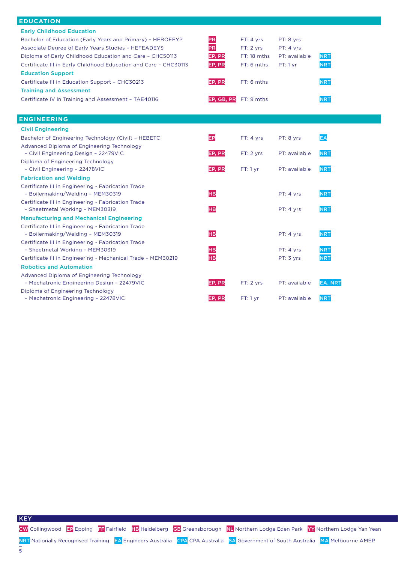| <b>EDUCATION</b>                                                                                                                                                                                                                                                                                                                                                                                                                                               |                                                      |                                                                                     |                                                     |                                                      |
|----------------------------------------------------------------------------------------------------------------------------------------------------------------------------------------------------------------------------------------------------------------------------------------------------------------------------------------------------------------------------------------------------------------------------------------------------------------|------------------------------------------------------|-------------------------------------------------------------------------------------|-----------------------------------------------------|------------------------------------------------------|
| <b>Early Childhood Education</b><br>Bachelor of Education (Early Years and Primary) - HEBOEEYP<br>Associate Degree of Early Years Studies - HEFEADEYS<br>Diploma of Early Childhood Education and Care - CHC50113<br>Certificate III in Early Childhood Education and Care - CHC30113<br><b>Education Support</b><br>Certificate III in Education Support - CHC30213<br><b>Training and Assessment</b><br>Certificate IV in Training and Assessment - TAE40116 | PR<br>PR<br>EP, PR<br>EP, PR<br>EP, PR<br>EP, GB, PR | FT: 4 yrs<br>FT: 2 yrs<br>$FT: 18$ mths<br>FT: 6 mths<br>$FT: 6$ mths<br>FT: 9 mths | PT: 8 yrs<br>PT: 4 yrs<br>PT: available<br>PT: 1 yr | <b>NRT</b><br><b>NRT</b><br><b>NRT</b><br><b>NRT</b> |
| <b>ENGINEERING</b>                                                                                                                                                                                                                                                                                                                                                                                                                                             |                                                      |                                                                                     |                                                     |                                                      |
| <b>Civil Engineering</b>                                                                                                                                                                                                                                                                                                                                                                                                                                       |                                                      |                                                                                     |                                                     |                                                      |
| Bachelor of Engineering Technology (Civil) - HEBETC                                                                                                                                                                                                                                                                                                                                                                                                            | EP                                                   | FT: 4 yrs                                                                           | PT: 8 yrs                                           | EA                                                   |
| Advanced Diploma of Engineering Technology<br>- Civil Engineering Design - 22479VIC                                                                                                                                                                                                                                                                                                                                                                            | EP, PR                                               | FT: 2 vrs                                                                           | PT: available                                       | <b>NRT</b>                                           |
| Diploma of Engineering Technology<br>- Civil Engineering - 22478VIC                                                                                                                                                                                                                                                                                                                                                                                            | EP, PR                                               | $FT:1$ yr                                                                           | PT: available                                       | <b>NRT</b>                                           |
| <b>Fabrication and Welding</b>                                                                                                                                                                                                                                                                                                                                                                                                                                 |                                                      |                                                                                     |                                                     |                                                      |
| Certificate III in Engineering - Fabrication Trade<br>- Boilermaking/Welding - MEM30319<br>Certificate III in Engineering - Fabrication Trade                                                                                                                                                                                                                                                                                                                  | <b>HB</b>                                            |                                                                                     | PT: 4 yrs                                           | <b>NRT</b>                                           |
| - Sheetmetal Working - MEM30319<br><b>Manufacturing and Mechanical Engineering</b>                                                                                                                                                                                                                                                                                                                                                                             | <b>HB</b>                                            |                                                                                     | PT: 4 yrs                                           | <b>NRT</b>                                           |
| Certificate III in Engineering - Fabrication Trade<br>- Boilermaking/Welding - MEM30319<br>Certificate III in Engineering - Fabrication Trade                                                                                                                                                                                                                                                                                                                  | <b>HB</b>                                            |                                                                                     | PT: 4 yrs                                           | <b>NRT</b>                                           |
| - Sheetmetal Working - MEM30319                                                                                                                                                                                                                                                                                                                                                                                                                                | <b>HB</b>                                            |                                                                                     | PT: 4 yrs                                           | <b>NRT</b>                                           |
| Certificate III in Engineering - Mechanical Trade - MEM30219                                                                                                                                                                                                                                                                                                                                                                                                   | нв                                                   |                                                                                     | PT: 3 yrs                                           | <b>NRT</b>                                           |
| <b>Robotics and Automation</b>                                                                                                                                                                                                                                                                                                                                                                                                                                 |                                                      |                                                                                     |                                                     |                                                      |
| Advanced Diploma of Engineering Technology<br>- Mechatronic Engineering Design - 22479VIC                                                                                                                                                                                                                                                                                                                                                                      | EP, PR                                               | FT: 2 yrs                                                                           | PT: available                                       | <b>EA, NRT</b>                                       |
| Diploma of Engineering Technology<br>- Mechatronic Engineering - 22478VIC                                                                                                                                                                                                                                                                                                                                                                                      | EP, PR                                               | FT:1 yr                                                                             | PT: available                                       | <b>NRT</b>                                           |

**KEY**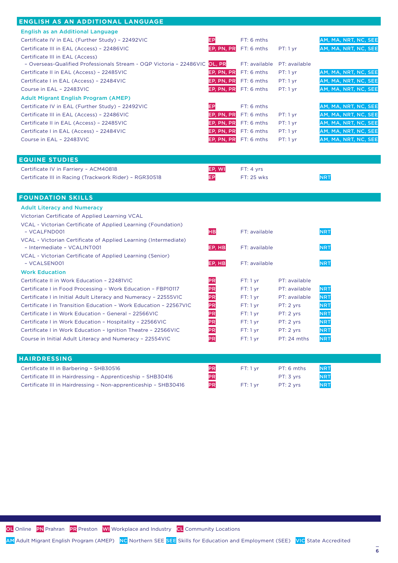### **ENGLISH AS AN ADDITIONAL LANGUAGE**

| ENGLISH AS AN ADDITIONAL LANGUAGE                                                              |            |                              |               |                      |
|------------------------------------------------------------------------------------------------|------------|------------------------------|---------------|----------------------|
| <b>English as an Additional Language</b>                                                       |            |                              |               |                      |
| Certificate IV in EAL (Further Study) - 22492VIC                                               | IЕP        | FT: 6 mths                   |               | AM, MA, NRT, NC, SEE |
| Certificate III in EAL (Access) - 22486VIC                                                     | EP, PN, PR | FT: 6 mths                   | PT: 1 yr      | AM, MA, NRT, NC, SEE |
| Certificate III in EAL (Access)                                                                |            |                              |               |                      |
| - Overseas-Qualified Professionals Stream - OQP Victoria - 22486VIC OL, PR                     |            | FT: available                | PT: available |                      |
| Certificate II in EAL (Access) - 22485VIC                                                      | EP, PN, PR | FT: 6 mths                   | PT: 1 yr      | AM, MA, NRT, NC, SEE |
| Certificate I in EAL (Access) - 22484VIC                                                       | EP, PN, PR | FT: 6 mths                   | PT: 1 yr      | AM, MA, NRT, NC, SEE |
| Course in EAL - 22483VIC                                                                       | EP, PN, PR | FT: 6 mths                   | PT: 1 yr      | AM, MA, NRT, NC, SEE |
| <b>Adult Migrant English Program (AMEP)</b>                                                    |            |                              |               |                      |
| Certificate IV in EAL (Further Study) - 22492VIC                                               | EP         | FT: 6 mths                   |               | AM, MA, NRT, NC, SEE |
| Certificate III in EAL (Access) - 22486VIC                                                     | EP, PN, PR | FT: 6 mths                   | $PT: 1 \, yr$ | AM, MA, NRT, NC, SEE |
| Certificate II in EAL (Access) - 22485VIC                                                      | EP, PN, PR | $FT: 6$ mths                 | PT: 1 yr      | AM, MA, NRT, NC, SEE |
| Certificate I in EAL (Access) - 22484VIC                                                       |            | <b>EP, PN, PR</b> FT: 6 mths | PT: 1 yr      | AM, MA, NRT, NC, SEE |
| Course in EAL - 22483VIC                                                                       |            | EP, PN, PR FT: 6 mths        | PT: 1 yr      | AM, MA, NRT, NC, SEE |
|                                                                                                |            |                              |               |                      |
| <b>EQUINE STUDIES</b>                                                                          |            |                              |               |                      |
| Certificate IV in Farriery - ACM40818                                                          | EP, WI     | FT: 4 yrs                    |               |                      |
| Certificate III in Racing (Trackwork Rider) - RGR30518                                         | EP         | FT: 25 wks                   |               | <b>NRT</b>           |
|                                                                                                |            |                              |               |                      |
|                                                                                                |            |                              |               |                      |
|                                                                                                |            |                              |               |                      |
| <b>FOUNDATION SKILLS</b>                                                                       |            |                              |               |                      |
| <b>Adult Literacy and Numeracy</b>                                                             |            |                              |               |                      |
| Victorian Certificate of Applied Learning VCAL                                                 |            |                              |               |                      |
| VCAL - Victorian Certificate of Applied Learning (Foundation)                                  |            |                              |               |                      |
| - VCALFND001                                                                                   | <b>HB</b>  | FT: available                |               | <b>NRT</b>           |
| VCAL - Victorian Certificate of Applied Learning (Intermediate)<br>- Intermediate - VCALINT001 | EP, HB     | FT: available                |               | <b>NRT</b>           |
| VCAL - Victorian Certificate of Applied Learning (Senior)                                      |            |                              |               |                      |
| - VCALSEN001                                                                                   | EP, HB     | FT: available                |               | <b>NRT</b>           |
| <b>Work Education</b>                                                                          |            |                              |               |                      |
| Certificate II in Work Education - 22481VIC                                                    | PR         | $FT:1$ yr                    | PT: available |                      |
| Certificate I in Food Processing - Work Education - FBP10117                                   | PR         | FT:1 yr                      | PT: available | <b>NRT</b>           |
| Certificate I in Initial Adult Literacy and Numeracy - 22555VIC                                | PR         | FT:1 yr                      | PT: available | <b>NRT</b>           |
| Certificate I in Transition Education - Work Education - 22567VIC                              | PR         | FT:1 yr                      | PT: 2 yrs     | <b>NRT</b>           |
| Certificate I in Work Education - General - 22566VIC                                           | PR         | FT:1 yr                      | PT: 2 yrs     | <b>NRT</b>           |
| Certificate I in Work Education - Hospitality - 22566VIC                                       | PR         | FT:1 yr                      | PT: 2 yrs     | <b>NRT</b>           |
| Certificate I in Work Education - Ignition Theatre - 22566VIC                                  | PR         | FT:1 yr                      | PT: 2 yrs     | <b>NRT</b>           |
| Course in Initial Adult Literacy and Numeracy - 22554VIC                                       | PR         | $FT:1$ yr                    | PT: 24 mths   | <b>NRT</b>           |

| <b>HAIRDRESSING</b>                                             |           |           |            |            |
|-----------------------------------------------------------------|-----------|-----------|------------|------------|
| Certificate III in Barbering - SHB30516                         | IPR       | $FT:1$ vr | PT: 6 mths | <b>NRT</b> |
| Certificate III in Hairdressing - Apprenticeship - SHB30416     | IPR       |           | PT: 3 vrs  | <b>NRT</b> |
| Certificate III in Hairdressing - Non-apprenticeship - SHB30416 | <b>PR</b> | $FT:1$ vr | PT: 2 vrs  | <b>NRT</b> |

OL Online PN Prahran PR Preston WI Workplace and Industry CL Community Locations

AM Adult Migrant English Program (AMEP) NC Northern SEE SEE Skills for Education and Employment (SEE) VIC State Accredited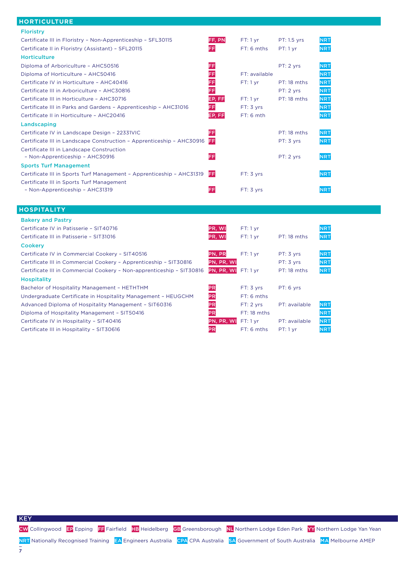#### **HORTICULTURE**

| <b>Floristry</b>                                                      |           |               |                    |            |
|-----------------------------------------------------------------------|-----------|---------------|--------------------|------------|
| Certificate III in Floristry - Non-Apprenticeship - SFL30115          | FF, PN    | FT: 1 yr      | <b>PT: 1.5 yrs</b> | <b>NRT</b> |
| Certificate II in Floristry (Assistant) - SFL20115                    | FF        | FT: 6 mths    | $PT: 1 \, yr$      | <b>NRT</b> |
| <b>Horticulture</b>                                                   |           |               |                    |            |
| Diploma of Arboriculture - AHC50516                                   | FF        |               | PT: 2 yrs          | <b>NRT</b> |
| Diploma of Horticulture - AHC50416                                    | FF        | FT: available |                    | <b>NRT</b> |
| Certificate IV in Horticulture - AHC40416                             | FF        | FT: 1 yr      | PT: 18 mths        | <b>NRT</b> |
| Certificate III in Arboriculture - AHC30816                           | FF        |               | PT: 2 yrs          | <b>NRT</b> |
| Certificate III in Horticulture - AHC30716                            | EP, FF    | $FT:1$ yr     | PT: 18 mths        | <b>NRT</b> |
| Certificate III in Parks and Gardens - Apprenticeship - AHC31016      | FF        | FT: 3 yrs     |                    | <b>NRT</b> |
| Certificate II in Horticulture - AHC20416                             | EP, FF    | $FT: 6$ mth   |                    | <b>NRT</b> |
| Landscaping                                                           |           |               |                    |            |
| Certificate IV in Landscape Design - 22331VIC                         | FF        |               | PT: 18 mths        | <b>NRT</b> |
| Certificate III in Landscape Construction - Apprenticeship - AHC30916 | FF        |               | PT: 3 yrs          | <b>NRT</b> |
| Certificate III in Landscape Construction                             |           |               |                    |            |
| - Non-Apprenticeship - AHC30916                                       | FF        |               | PT: 2 yrs          | <b>NRT</b> |
| <b>Sports Turf Management</b>                                         |           |               |                    |            |
| Certificate III in Sports Turf Management - Apprenticeship - AHC31319 | <b>FF</b> | FT: 3 yrs     |                    | <b>NRT</b> |
| Certificate III in Sports Turf Management                             |           |               |                    |            |
| - Non-Apprenticeship - AHC31319                                       | FF        | FT: 3 yrs     |                    | <b>NRT</b> |
|                                                                       |           |               |                    |            |
| <b>HOSPITALITY</b>                                                    |           |               |                    |            |
| <b>Bakery and Pastry</b>                                              |           |               |                    |            |
| Certificate IV in Patisserie - SIT40716                               | PR, WI    | $FT:1$ yr     |                    | <b>NRT</b> |

| Certificate III in Patisserie - SIT31016                              | PR, WI     | FT: 1 vr     | PT: 18 mths   | <b>NRT</b> |
|-----------------------------------------------------------------------|------------|--------------|---------------|------------|
| <b>Cookerv</b>                                                        |            |              |               |            |
| Certificate IV in Commercial Cookery - SIT40516                       | PN, PR     | $FT:1$ yr    | PT: 3 yrs     | <b>NRT</b> |
| Certificate III in Commercial Cookery - Apprenticeship - SIT30816     | PN, PR, WI |              | PT: 3 yrs     | <b>NRT</b> |
| Certificate III in Commercial Cookery - Non-apprenticeship - SIT30816 | PN, PR, WI | $FT:1$ vr    | PT: 18 mths   | <b>NRT</b> |
| <b>Hospitality</b>                                                    |            |              |               |            |
| Bachelor of Hospitality Management - HETHTHM                          | PR         | FT: 3 vrs    | PT: 6 yrs     |            |
| Undergraduate Certificate in Hospitality Management - HEUGCHM         | PR         | $FT: 6$ mths |               |            |
| Advanced Diploma of Hospitality Management - SIT60316                 | PR         | FT: 2 vrs    | PT: available | <b>NRT</b> |
| Diploma of Hospitality Management - SIT50416                          | PR         | FT: 18 mths  |               | <b>NRT</b> |
| Certificate IV in Hospitality - SIT40416                              | PN, PR, WI | $FT:1$ vr    | PT: available | <b>NRT</b> |
| Certificate III in Hospitality - SIT30616                             | <b>PR</b>  | FT: 6 mths   | PT: 1 yr      | <b>NRT</b> |

CW Collingwood EP Epping FF Fairfield HB Heidelberg GB Greensborough NL Northern Lodge Eden Park YY Northern Lodge Yan Yean

**KEY**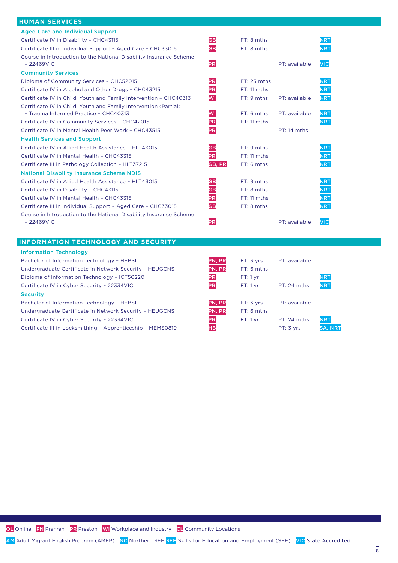### **HUMAN SERVICES**

| <b>Aged Care and Individual Support</b>                                            |           |               |               |                |
|------------------------------------------------------------------------------------|-----------|---------------|---------------|----------------|
| Certificate IV in Disability - CHC43115                                            | <b>GB</b> | FT: 8 mths    |               | NRT            |
| Certificate III in Individual Support - Aged Care - CHC33015                       | <b>GB</b> | FT: 8 mths    |               | <b>NRT</b>     |
| Course in Introduction to the National Disability Insurance Scheme<br>$-22469$ VIC | PR        |               | PT: available | <b>VIC</b>     |
| <b>Community Services</b>                                                          |           |               |               |                |
| Diploma of Community Services - CHC52015                                           | PR        | $FT: 23$ mths |               | <b>NRT</b>     |
| Certificate IV in Alcohol and Other Drugs - CHC43215                               | PR        | $FT: 11$ mths |               | <b>NRT</b>     |
| Certificate IV in Child, Youth and Family Intervention - CHC40313                  | WI        | FT: 9 mths    | PT: available | <b>NRT</b>     |
| Certificate IV in Child, Youth and Family Intervention (Partial)                   |           |               |               |                |
| - Trauma Informed Practice - CHC40313                                              | WI        | $FT: 6$ mths  | PT: available | <b>NRT</b>     |
| Certificate IV in Community Services - CHC42015                                    | PR        | FT: 11 mths   |               | <b>NRT</b>     |
| Certificate IV in Mental Health Peer Work - CHC43515                               | PR        |               | PT: 14 mths   |                |
| <b>Health Services and Support</b>                                                 |           |               |               |                |
| Certificate IV in Allied Health Assistance - HLT43015                              | <b>GB</b> | FT: 9 mths    |               | <b>NRT</b>     |
| Certificate IV in Mental Health - CHC43315                                         | PR        | FT: 11 mths   |               | <b>NRT</b>     |
| Certificate III in Pathology Collection - HLT37215                                 | GB, PR    | FT: 6 mths    |               | <b>NRT</b>     |
| <b>National Disability Insurance Scheme NDIS</b>                                   |           |               |               |                |
| Certificate IV in Allied Health Assistance - HLT43015                              | <b>GB</b> | FT: 9 mths    |               | <b>NRT</b>     |
| Certificate IV in Disability - CHC43115                                            | GB        | FT: 8 mths    |               | <b>NRT</b>     |
| Certificate IV in Mental Health - CHC43315                                         | PR        | $FT: 11$ mths |               | <b>NRT</b>     |
| Certificate III in Individual Support - Aged Care - CHC33015                       | <b>GB</b> | FT: 8 mths    |               | <b>NRT</b>     |
| Course in Introduction to the National Disability Insurance Scheme                 |           |               |               |                |
| $-22469$ VIC                                                                       | PR        |               | PT: available | <b>VIC</b>     |
|                                                                                    |           |               |               |                |
| <b>INFORMATION TECHNOLOGY AND SECURITY</b>                                         |           |               |               |                |
| <b>Information Technology</b>                                                      |           |               |               |                |
| Bachelor of Information Technology - HEBSIT                                        | PN, PR    | FT: 3 yrs     | PT: available |                |
| Undergraduate Certificate in Network Security - HEUGCNS                            | PN, PR    | FT: 6 mths    |               |                |
| Diploma of Information Technology - ICT50220                                       | PR        | FT: 1 yr      |               | <b>NRT</b>     |
| Certificate IV in Cyber Security - 22334VIC                                        | PR        | FT:1 yr       | PT: 24 mths   | <b>NRT</b>     |
| <b>Security</b>                                                                    |           |               |               |                |
| Bachelor of Information Technology - HEBSIT                                        | PN, PR    | FT: 3 yrs     | PT: available |                |
| Undergraduate Certificate in Network Security - HEUGCNS                            | PN, PR    | $FT: 6$ mths  |               |                |
| Certificate IV in Cyber Security - 22334VIC                                        | PR        | FT: 1 yr      | PT: 24 mths   | <b>NRT</b>     |
| Certificate III in Locksmithing - Apprenticeship - MEM30819                        | нв        |               | PT: 3 yrs     | <b>SA, NRT</b> |

OL Online PN Prahran PR Preston WI Workplace and Industry CL Community Locations

AM Adult Migrant English Program (AMEP) NC Northern SEE SEE Skills for Education and Employment (SEE) VIC State Accredited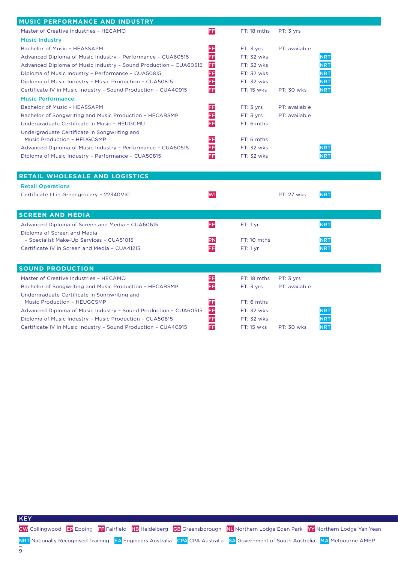| MUSIC PERFORMANCE AND INDUSTRY                                                                          |          |               |                   |            |
|---------------------------------------------------------------------------------------------------------|----------|---------------|-------------------|------------|
| Master of Creative Industries - HECAMCI                                                                 | FF       | FT: 18 mths   | PT: 3 yrs         |            |
| <b>Music Industry</b>                                                                                   |          |               |                   |            |
| Bachelor of Music - HEASSAPM                                                                            | FF       | FT: 3 yrs     | PT: available     |            |
| Advanced Diploma of Music Industry - Performance - CUA60515                                             | FF       | FT: 32 wks    |                   | <b>NRT</b> |
| Advanced Diploma of Music Industry - Sound Production - CUA60515                                        | FF       | FT: 32 wks    |                   | <b>NRT</b> |
| Diploma of Music Industry - Performance - CUA50815                                                      | FF       | FT: 32 wks    |                   | <b>NRT</b> |
| Diploma of Music Industry - Music Production - CUA50815                                                 | EE       | FT: 32 wks    |                   | <b>NRT</b> |
| Certificate IV in Music Industry - Sound Production - CUA40915                                          | FF       | FT: 15 wks    | PT: 30 wks        | <b>NRT</b> |
| <b>Music Performance</b>                                                                                |          |               |                   |            |
| Bachelor of Music - HEASSAPM                                                                            | FF       | FT: 3 yrs     | PT: available     |            |
| Bachelor of Songwriting and Music Production - HECABSMP                                                 | FF       | FT: 3 yrs     | PT: available     |            |
| Undergraduate Certificate in Music - HEUGCMU                                                            | FF       | FT: 6 mths    |                   |            |
| Undergraduate Certificate in Songwriting and                                                            |          |               |                   |            |
| Music Production - HEUGCSMP                                                                             | FF       | FT: 6 mths    |                   |            |
| Advanced Diploma of Music Industry - Performance - CUA60515                                             | FF       | FT: 32 wks    |                   | <b>NRT</b> |
| Diploma of Music Industry - Performance - CUA50815                                                      | FF       | FT: 32 wks    |                   | <b>NRT</b> |
|                                                                                                         |          |               |                   |            |
| RETAIL WHOLESALE AND LOGISTICS                                                                          |          |               |                   |            |
| <b>Retail Operations</b>                                                                                |          |               |                   |            |
| Certificate III in Greengrocery - 22340VIC                                                              | WI       |               | <b>PT: 27 wks</b> | <b>NRT</b> |
|                                                                                                         |          |               |                   |            |
| <b>SCREEN AND MEDIA</b>                                                                                 |          |               |                   |            |
| Advanced Diploma of Screen and Media - CUA60615                                                         | FF       | FT:1 yr       |                   | <b>NRT</b> |
| Diploma of Screen and Media                                                                             |          |               |                   |            |
| - Specialist Make-Up Services - CUA51015                                                                | PN       |               |                   |            |
|                                                                                                         |          | $FT: 10$ mths |                   | <b>NRT</b> |
| Certificate IV in Screen and Media - CUA41215                                                           | FF       | FT:1 yr       |                   | <b>NRT</b> |
|                                                                                                         |          |               |                   |            |
|                                                                                                         |          |               |                   |            |
| <b>SOUND PRODUCTION</b>                                                                                 |          |               |                   |            |
| Master of Creative Industries - HECAMCI                                                                 | FF       | FT: 18 mths   | PT: 3 yrs         |            |
| Bachelor of Songwriting and Music Production - HECABSMP<br>Undergraduate Certificate in Songwriting and | FF       | FT: 3 yrs     | PT: available     |            |
| Music Production - HEUGCSMP                                                                             |          | FT: 6 mths    |                   |            |
| Advanced Diploma of Music Industry - Sound Production - CUA60515                                        | EF<br>FF | FT: 32 wks    |                   | <b>NRT</b> |
| Diploma of Music Industry - Music Production - CUA50815                                                 | FF       | FT: 32 wks    |                   | NRT        |
| Certificate IV in Music Industry - Sound Production - CUA40915                                          | FF       | FT: 15 wks    | <b>PT: 30 wks</b> | <b>NRT</b> |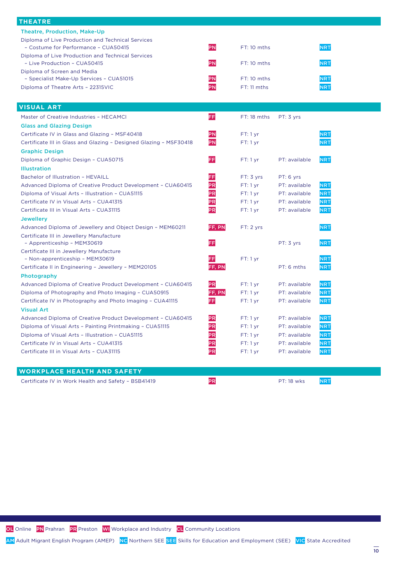| <b>THEATRE</b>                                                     |           |               |               |            |
|--------------------------------------------------------------------|-----------|---------------|---------------|------------|
| Theatre, Production, Make-Up                                       |           |               |               |            |
| Diploma of Live Production and Technical Services                  |           |               |               |            |
| - Costume for Performance - CUA50415                               | PN        | FT: 10 mths   |               | <b>NRT</b> |
| Diploma of Live Production and Technical Services                  |           |               |               |            |
| - Live Production - CUA50415                                       | PN        | $FT: 10$ mths |               | <b>NRT</b> |
| Diploma of Screen and Media                                        |           |               |               |            |
| - Specialist Make-Up Services - CUA51015                           | PN        | FT: 10 mths   |               | <b>NRT</b> |
| Diploma of Theatre Arts - 22315VIC                                 | PN        | FT: 11 mths   |               | <b>NRT</b> |
|                                                                    |           |               |               |            |
| <b>VISUAL ART</b>                                                  |           |               |               |            |
|                                                                    |           |               |               |            |
| Master of Creative Industries - HECAMCI                            | FF        | $FT: 18$ mths | PT: 3 yrs     |            |
| <b>Glass and Glazing Design</b>                                    |           |               |               |            |
| Certificate IV in Glass and Glazing - MSF40418                     | PN        | FT:1 yr       |               | <b>NRT</b> |
| Certificate III in Glass and Glazing - Designed Glazing - MSF30418 | PN        | FT:1 yr       |               | <b>NRT</b> |
| <b>Graphic Design</b>                                              |           |               |               |            |
| Diploma of Graphic Design - CUA50715                               | FF        | FT:1 yr       | PT: available | <b>NRT</b> |
| <b>Illustration</b>                                                |           |               |               |            |
| Bachelor of Illustration - HEVAILL                                 | FF        | FT: 3 yrs     | PT: 6 yrs     |            |
| Advanced Diploma of Creative Product Development - CUA60415        | PR        | FT:1 yr       | PT: available | <b>NRT</b> |
| Diploma of Visual Arts - Illustration - CUA51115                   | PR        | FT:1 yr       | PT: available | <b>NRT</b> |
| Certificate IV in Visual Arts - CUA41315                           | PR        | FT: 1 yr      | PT: available | <b>NRT</b> |
| Certificate III in Visual Arts - CUA31115                          | PR        | FT: 1 yr      | PT: available | <b>NRT</b> |
| <b>Jewellery</b>                                                   |           |               |               |            |
| Advanced Diploma of Jewellery and Object Design - MEM60211         | FF, PN    | FT: 2 yrs     |               | <b>NRT</b> |
| Certificate III in Jewellery Manufacture                           |           |               |               |            |
| - Apprenticeship - MEM30619                                        | FF        |               | PT: 3 yrs     | <b>NRT</b> |
| Certificate III in Jewellery Manufacture                           |           |               |               |            |
| - Non-apprenticeship - MEM30619                                    | FF        | FT:1 yr       |               | <b>NRT</b> |
| Certificate II in Engineering - Jewellery - MEM20105               | FF, PN    |               | PT: 6 mths    | <b>NRT</b> |
| Photography                                                        |           |               |               |            |
| Advanced Diploma of Creative Product Development - CUA60415        | <b>PR</b> | $FT:1$ yr     | PT: available | <b>NRT</b> |
| Diploma of Photography and Photo Imaging - CUA50915                | FF, PN    | FT:1 yr       | PT: available | <b>NRT</b> |
| Certificate IV in Photography and Photo Imaging - CUA41115         | FF        | FT:1 yr       | PT: available | <b>NRT</b> |
| <b>Visual Art</b>                                                  |           |               |               |            |
|                                                                    |           |               | PT: available | <b>NRT</b> |
| Advanced Diploma of Creative Product Development - CUA60415        | PR        | FT:1 yr       | PT: available |            |
| Diploma of Visual Arts - Painting Printmaking - CUA51115           | PR        | FT:1 yr       |               | <b>NRT</b> |
| Diploma of Visual Arts - Illustration - CUA51115                   | PR        | FT: 1 yr      | PT: available | <b>NRT</b> |
| Certificate IV in Visual Arts - CUA41315                           | PR        | FT:1 yr       | PT: available | <b>NRT</b> |
| Certificate III in Visual Arts - CUA31115                          | PR        | $FT:1$ yr     | PT: available | <b>NRT</b> |
|                                                                    |           |               |               |            |

### **WORKPLACE HEALTH AND SAFETY**

Certificate IV in Work Health and Safety – BSB41419 PR PR PT: 18 wks PT: 18 WKs

OL Online PN Prahran PR Preston WI Workplace and Industry CL Community Locations

AM Adult Migrant English Program (AMEP) NC Northern SEE SEE Skills for Education and Employment (SEE) VIC State Accredited